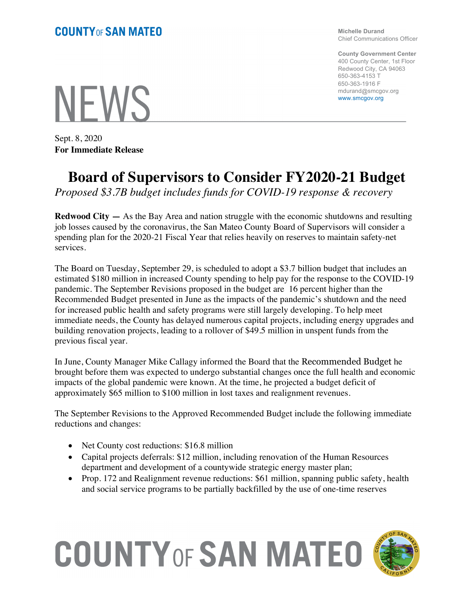**Michelle Durand** Chief Communications Officer

**County Government Center** 400 County Center, 1st Floor Redwood City, CA 94063 650-363-4153 T 650-363-1916 F mdurand@smcgov.org www.smcgov.org

**NFWS** 

Sept. 8, 2020 **For Immediate Release**

## **Board of Supervisors to Consider FY2020-21 Budget**

*Proposed \$3.7B budget includes funds for COVID-19 response & recovery*

**Redwood City —** As the Bay Area and nation struggle with the economic shutdowns and resulting job losses caused by the coronavirus, the San Mateo County Board of Supervisors will consider a spending plan for the 2020-21 Fiscal Year that relies heavily on reserves to maintain safety-net services.

The Board on Tuesday, September 29, is scheduled to adopt a \$3.7 billion budget that includes an estimated \$180 million in increased County spending to help pay for the response to the COVID-19 pandemic. The September Revisions proposed in the budget are 16 percent higher than the Recommended Budget presented in June as the impacts of the pandemic's shutdown and the need for increased public health and safety programs were still largely developing. To help meet immediate needs, the County has delayed numerous capital projects, including energy upgrades and building renovation projects, leading to a rollover of \$49.5 million in unspent funds from the previous fiscal year.

In June, County Manager Mike Callagy informed the Board that the Recommended Budget he brought before them was expected to undergo substantial changes once the full health and economic impacts of the global pandemic were known. At the time, he projected a budget deficit of approximately \$65 million to \$100 million in lost taxes and realignment revenues.

The September Revisions to the Approved Recommended Budget include the following immediate reductions and changes:

- Net County cost reductions: \$16.8 million
- Capital projects deferrals: \$12 million, including renovation of the Human Resources department and development of a countywide strategic energy master plan;
- Prop. 172 and Realignment revenue reductions: \$61 million, spanning public safety, health and social service programs to be partially backfilled by the use of one-time reserves

## **COUNTY OF SAN MATEO**